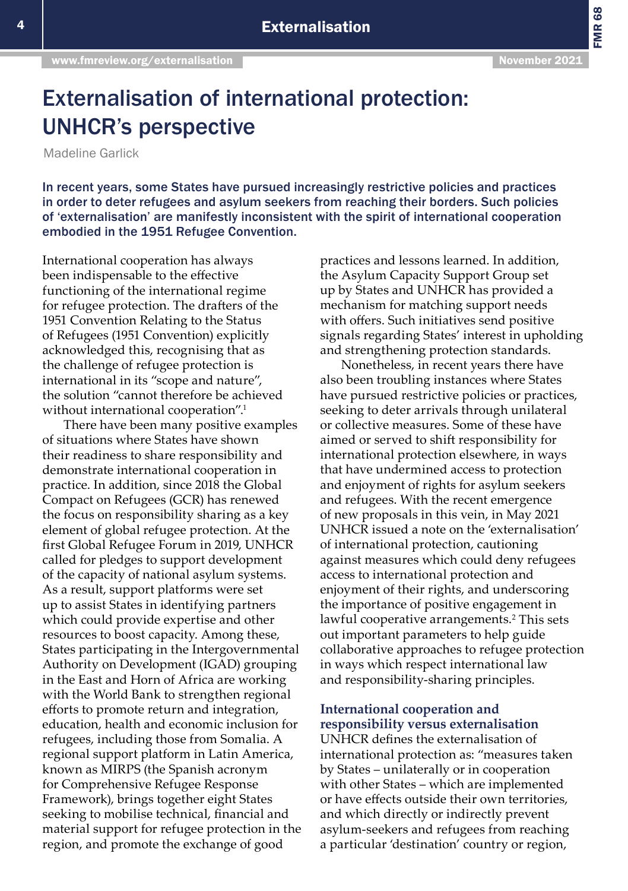# Externalisation of international protection: UNHCR's perspective

Madeline Garlick

In recent years, some States have pursued increasingly restrictive policies and practices in order to deter refugees and asylum seekers from reaching their borders. Such policies of 'externalisation' are manifestly inconsistent with the spirit of international cooperation embodied in the 1951 Refugee Convention.

International cooperation has always been indispensable to the effective functioning of the international regime for refugee protection. The drafters of the 1951 Convention Relating to the Status of Refugees (1951 Convention) explicitly acknowledged this, recognising that as the challenge of refugee protection is international in its "scope and nature", the solution "cannot therefore be achieved without international cooperation".<sup>1</sup>

There have been many positive examples of situations where States have shown their readiness to share responsibility and demonstrate international cooperation in practice. In addition, since 2018 the Global Compact on Refugees (GCR) has renewed the focus on responsibility sharing as a key element of global refugee protection. At the first Global Refugee Forum in 2019, UNHCR called for pledges to support development of the capacity of national asylum systems. As a result, support platforms were set up to assist States in identifying partners which could provide expertise and other resources to boost capacity. Among these, States participating in the Intergovernmental Authority on Development (IGAD) grouping in the East and Horn of Africa are working with the World Bank to strengthen regional efforts to promote return and integration, education, health and economic inclusion for refugees, including those from Somalia. A regional support platform in Latin America, known as MIRPS (the Spanish acronym for Comprehensive Refugee Response Framework), brings together eight States seeking to mobilise technical, financial and material support for refugee protection in the region, and promote the exchange of good

practices and lessons learned. In addition, the Asylum Capacity Support Group set up by States and UNHCR has provided a mechanism for matching support needs with offers. Such initiatives send positive signals regarding States' interest in upholding and strengthening protection standards.

Nonetheless, in recent years there have also been troubling instances where States have pursued restrictive policies or practices, seeking to deter arrivals through unilateral or collective measures. Some of these have aimed or served to shift responsibility for international protection elsewhere, in ways that have undermined access to protection and enjoyment of rights for asylum seekers and refugees. With the recent emergence of new proposals in this vein, in May 2021 UNHCR issued a note on the 'externalisation' of international protection, cautioning against measures which could deny refugees access to international protection and enjoyment of their rights, and underscoring the importance of positive engagement in lawful cooperative arrangements.<sup>2</sup> This sets out important parameters to help guide collaborative approaches to refugee protection in ways which respect international law and responsibility-sharing principles.

### **International cooperation and responsibility versus externalisation**

UNHCR defines the externalisation of international protection as: "measures taken by States – unilaterally or in cooperation with other States – which are implemented or have effects outside their own territories, and which directly or indirectly prevent asylum-seekers and refugees from reaching a particular 'destination' country or region,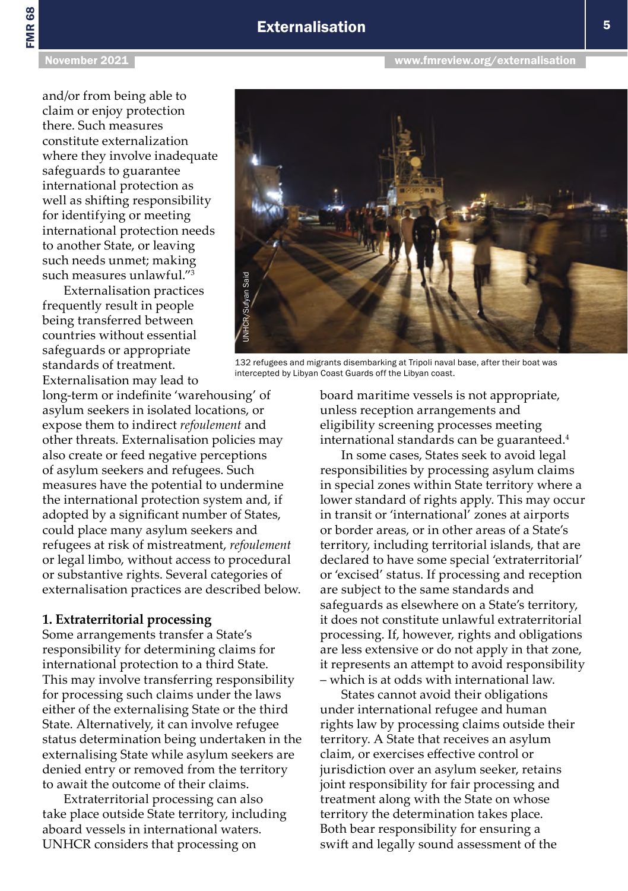## **Externalisation** 5

and/or from being able to claim or enjoy protection there. Such measures constitute externalization where they involve inadequate safeguards to guarantee international protection as well as shifting responsibility for identifying or meeting international protection needs to another State, or leaving such needs unmet; making such measures unlawful."<sup>3</sup>

Externalisation practices frequently result in people being transferred between countries without essential safeguards or appropriate standards of treatment. Externalisation may lead to

long-term or indefinite 'warehousing' of asylum seekers in isolated locations, or expose them to indirect *refoulement* and other threats. Externalisation policies may also create or feed negative perceptions of asylum seekers and refugees. Such measures have the potential to undermine the international protection system and, if adopted by a significant number of States, could place many asylum seekers and refugees at risk of mistreatment, *refoulement* or legal limbo, without access to procedural or substantive rights. Several categories of externalisation practices are described below.

#### **1. Extraterritorial processing**

Some arrangements transfer a State's responsibility for determining claims for international protection to a third State. This may involve transferring responsibility for processing such claims under the laws either of the externalising State or the third State. Alternatively, it can involve refugee status determination being undertaken in the externalising State while asylum seekers are denied entry or removed from the territory to await the outcome of their claims.

Extraterritorial processing can also take place outside State territory, including aboard vessels in international waters. UNHCR considers that processing on

board maritime vessels is not appropriate, unless reception arrangements and eligibility screening processes meeting international standards can be guaranteed.<sup>4</sup>

In some cases, States seek to avoid legal responsibilities by processing asylum claims in special zones within State territory where a lower standard of rights apply. This may occur in transit or 'international' zones at airports or border areas, or in other areas of a State's territory, including territorial islands, that are declared to have some special 'extraterritorial' or 'excised' status. If processing and reception are subject to the same standards and safeguards as elsewhere on a State's territory, it does not constitute unlawful extraterritorial processing. If, however, rights and obligations are less extensive or do not apply in that zone, it represents an attempt to avoid responsibility – which is at odds with international law.

States cannot avoid their obligations under international refugee and human rights law by processing claims outside their territory. A State that receives an asylum claim, or exercises effective control or jurisdiction over an asylum seeker, retains joint responsibility for fair processing and treatment along with the State on whose territory the determination takes place. Both bear responsibility for ensuring a swift and legally sound assessment of the

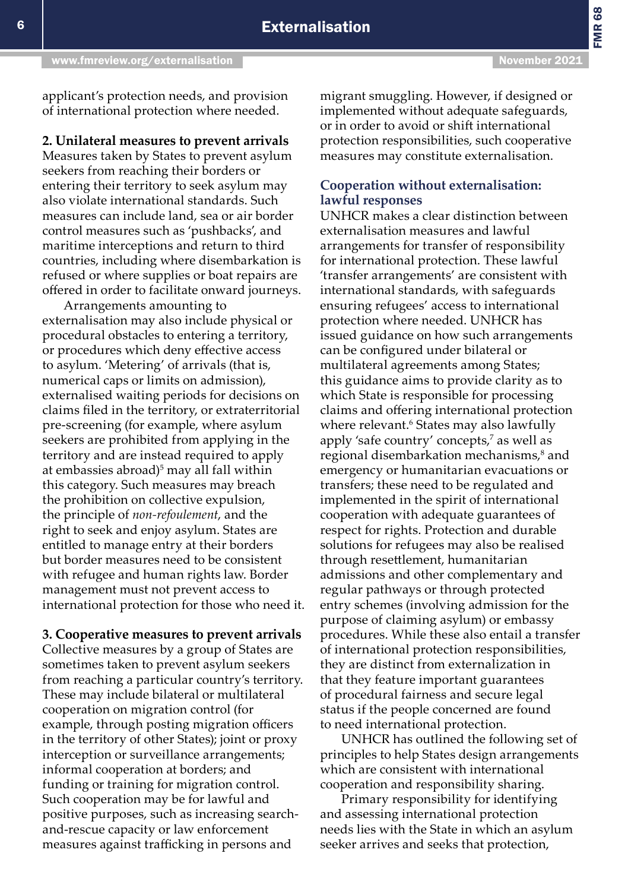FMR 68

applicant's protection needs, and provision of international protection where needed.

**2. Unilateral measures to prevent arrivals**  Measures taken by States to prevent asylum seekers from reaching their borders or entering their territory to seek asylum may also violate international standards. Such measures can include land, sea or air border control measures such as 'pushbacks', and maritime interceptions and return to third countries, including where disembarkation is refused or where supplies or boat repairs are offered in order to facilitate onward journeys.

Arrangements amounting to externalisation may also include physical or procedural obstacles to entering a territory, or procedures which deny effective access to asylum. 'Metering' of arrivals (that is, numerical caps or limits on admission), externalised waiting periods for decisions on claims filed in the territory, or extraterritorial pre-screening (for example, where asylum seekers are prohibited from applying in the territory and are instead required to apply at embassies abroad)<sup>5</sup> may all fall within this category. Such measures may breach the prohibition on collective expulsion, the principle of *non-refoulement*, and the right to seek and enjoy asylum. States are entitled to manage entry at their borders but border measures need to be consistent with refugee and human rights law. Border management must not prevent access to international protection for those who need it.

**3. Cooperative measures to prevent arrivals**  Collective measures by a group of States are sometimes taken to prevent asylum seekers from reaching a particular country's territory. These may include bilateral or multilateral cooperation on migration control (for example, through posting migration officers in the territory of other States); joint or proxy interception or surveillance arrangements; informal cooperation at borders; and funding or training for migration control. Such cooperation may be for lawful and positive purposes, such as increasing searchand-rescue capacity or law enforcement measures against trafficking in persons and

migrant smuggling. However, if designed or implemented without adequate safeguards, or in order to avoid or shift international protection responsibilities, such cooperative measures may constitute externalisation.

#### **Cooperation without externalisation: lawful responses**

UNHCR makes a clear distinction between externalisation measures and lawful arrangements for transfer of responsibility for international protection. These lawful 'transfer arrangements' are consistent with international standards, with safeguards ensuring refugees' access to international protection where needed. UNHCR has issued guidance on how such arrangements can be configured under bilateral or multilateral agreements among States; this guidance aims to provide clarity as to which State is responsible for processing claims and offering international protection where relevant.<sup>6</sup> States may also lawfully apply 'safe country' concepts,<sup>7</sup> as well as regional disembarkation mechanisms,<sup>8</sup> and emergency or humanitarian evacuations or transfers; these need to be regulated and implemented in the spirit of international cooperation with adequate guarantees of respect for rights. Protection and durable solutions for refugees may also be realised through resettlement, humanitarian admissions and other complementary and regular pathways or through protected entry schemes (involving admission for the purpose of claiming asylum) or embassy procedures. While these also entail a transfer of international protection responsibilities, they are distinct from externalization in that they feature important guarantees of procedural fairness and secure legal status if the people concerned are found to need international protection.

UNHCR has outlined the following set of principles to help States design arrangements which are consistent with international cooperation and responsibility sharing.

Primary responsibility for identifying and assessing international protection needs lies with the State in which an asylum seeker arrives and seeks that protection,